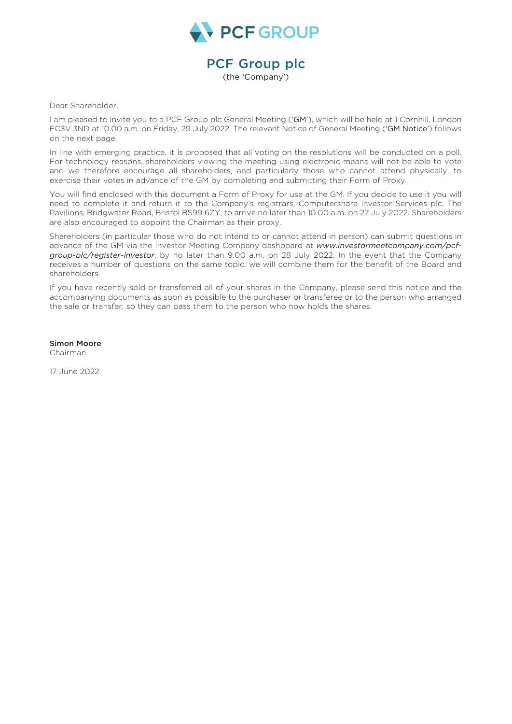

## PCF Group plc

(the 'Company')

Dear Shareholder,

I am pleased to invite you to a PCF Group plc General Meeting ('GM'), which will be held at 1 Cornhill, London EC3V 3ND at 10.00 a.m. on Friday, 29 July 2022. The relevant Notice of General Meeting ('GM Notice') follows on the next page.

In line with emerging practice, it is proposed that all voting on the resolutions will be conducted on a poll. For technology reasons, shareholders viewing the meeting using electronic means will not be able to vote and we therefore encourage all shareholders, and particularly those who cannot attend physically, to exercise their votes in advance of the GM by completing and submitting their Form of Proxy.

You will find enclosed with this document a Form of Proxy for use at the GM. If you decide to use it you will need to complete it and return it to the Company's registrars, Computershare Investor Services plc, The Pavilions, Bridgwater Road, Bristol BS99 6ZY, to arrive no later than 10.00 a.m. on 27 July 2022. Shareholders are also encouraged to appoint the Chairman as their proxy.

Shareholders (in particular those who do not intend to or cannot attend in person) can submit questions in advance of the GM via the Investor Meeting Company dashboard at *www.investormeetcompany.com/pcfgroup-plc/register-investor*, by no later than 9.00 a.m. on 28 July 2022. In the event that the Company receives a number of questions on the same topic, we will combine them for the benefit of the Board and shareholders.

If you have recently sold or transferred all of your shares in the Company, please send this notice and the accompanying documents as soon as possible to the purchaser or transferee or to the person who arranged the sale or transfer, so they can pass them to the person who now holds the shares.

Simon Moore Chairman

17 June 2022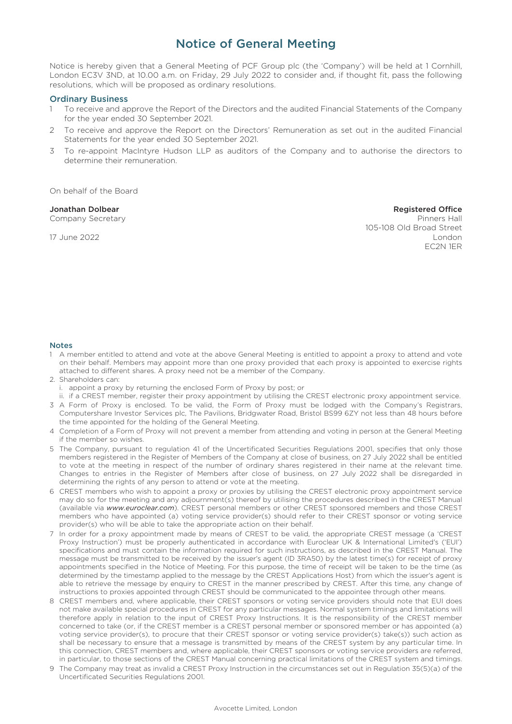## Notice of General Meeting

Notice is hereby given that a General Meeting of PCF Group plc (the 'Company') will be held at 1 Cornhill, London EC3V 3ND, at 10.00 a.m. on Friday, 29 July 2022 to consider and, if thought fit, pass the following resolutions, which will be proposed as ordinary resolutions.

### Ordinary Business

- 1 To receive and approve the Report of the Directors and the audited Financial Statements of the Company for the year ended 30 September 2021.
- 2 To receive and approve the Report on the Directors' Remuneration as set out in the audited Financial Statements for the year ended 30 September 2021.
- 3 To re-appoint MacIntyre Hudson LLP as auditors of the Company and to authorise the directors to determine their remuneration.

On behalf of the Board

#### Jonathan Dolbear Registered Office

Company Secretary **Pinners Hall** 105-108 Old Broad Street 17 June 2022 London EC2N 1ER

#### Notes

- 1 A member entitled to attend and vote at the above General Meeting is entitled to appoint a proxy to attend and vote on their behalf. Members may appoint more than one proxy provided that each proxy is appointed to exercise rights attached to different shares. A proxy need not be a member of the Company.
- 2. Shareholders can:
	- i. appoint a proxy by returning the enclosed Form of Proxy by post; or
	- ii. if a CREST member, register their proxy appointment by utilising the CREST electronic proxy appointment service.
- 3 A Form of Proxy is enclosed. To be valid, the Form of Proxy must be lodged with the Company's Registrars, Computershare Investor Services plc, The Pavilions, Bridgwater Road, Bristol BS99 6ZY not less than 48 hours before the time appointed for the holding of the General Meeting.
- 4 Completion of a Form of Proxy will not prevent a member from attending and voting in person at the General Meeting if the member so wishes.
- 5 The Company, pursuant to regulation 41 of the Uncertificated Securities Regulations 2001, specifies that only those members registered in the Register of Members of the Company at close of business, on 27 July 2022 shall be entitled to vote at the meeting in respect of the number of ordinary shares registered in their name at the relevant time. Changes to entries in the Register of Members after close of business, on 27 July 2022 shall be disregarded in determining the rights of any person to attend or vote at the meeting.
- 6 CREST members who wish to appoint a proxy or proxies by utilising the CREST electronic proxy appointment service may do so for the meeting and any adjournment(s) thereof by utilising the procedures described in the CREST Manual (available via *www.euroclear.com*). CREST personal members or other CREST sponsored members and those CREST members who have appointed (a) voting service provider(s) should refer to their CREST sponsor or voting service provider(s) who will be able to take the appropriate action on their behalf.
- 7 In order for a proxy appointment made by means of CREST to be valid, the appropriate CREST message (a 'CREST Proxy Instruction') must be properly authenticated in accordance with Euroclear UK & International Limited's ('EUI') specifications and must contain the information required for such instructions, as described in the CREST Manual. The message must be transmitted to be received by the issuer's agent (ID 3RA50) by the latest time(s) for receipt of proxy appointments specified in the Notice of Meeting. For this purpose, the time of receipt will be taken to be the time (as determined by the timestamp applied to the message by the CREST Applications Host) from which the issuer's agent is able to retrieve the message by enquiry to CREST in the manner prescribed by CREST. After this time, any change of instructions to proxies appointed through CREST should be communicated to the appointee through other means.
- 8 CREST members and, where applicable, their CREST sponsors or voting service providers should note that EUI does not make available special procedures in CREST for any particular messages. Normal system timings and limitations will therefore apply in relation to the input of CREST Proxy Instructions. It is the responsibility of the CREST member concerned to take (or, if the CREST member is a CREST personal member or sponsored member or has appointed (a) voting service provider(s), to procure that their CREST sponsor or voting service provider(s) take(s)) such action as shall be necessary to ensure that a message is transmitted by means of the CREST system by any particular time. In this connection, CREST members and, where applicable, their CREST sponsors or voting service providers are referred, in particular, to those sections of the CREST Manual concerning practical limitations of the CREST system and timings.
- 9 The Company may treat as invalid a CREST Proxy Instruction in the circumstances set out in Regulation 35(5)(a) of the Uncertificated Securities Regulations 2001.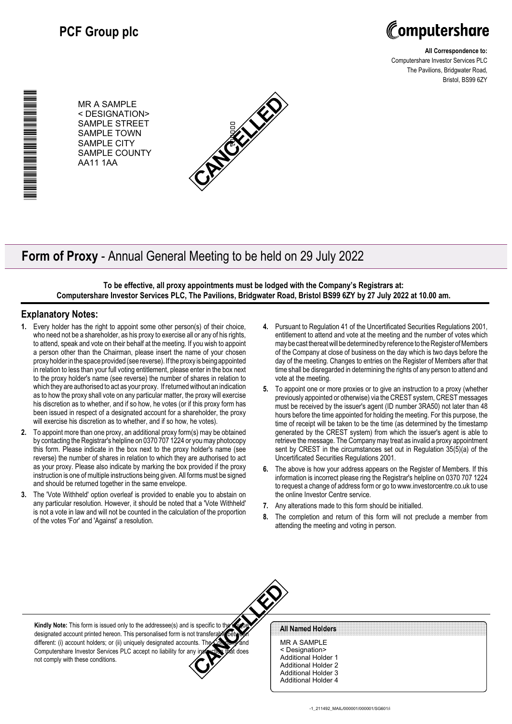

**All Correspondence to:** Computershare Investor Services PLC The Pavilions, Bridgwater Road, Bristol, BS99 6ZY

MR A SAMPLE < DESIGNATION> SAMPLE STREET SAMPLE TOWN SAMPLE CITY SAMPLE COUNTY AA11 1AA



# **Form of Proxy** - Annual General Meeting to be held on 29 July 2022

**To be effective, all proxy appointments must be lodged with the Company's Registrars at: Computershare Investor Services PLC, The Pavilions, Bridgwater Road, Bristol BS99 6ZY by 27 July 2022 at 10.00 am.**

### **Explanatory Notes:**

\*00000101010000\*

▊▊▊▊▊▊▊▊▊▊▊▊▊▊▊▊

- **1.** Every holder has the right to appoint some other person(s) of their choice, who need not be a shareholder, as his proxy to exercise all or any of his rights, to attend, speak and vote on their behalf at the meeting. If you wish to appoint a person other than the Chairman, please insert the name of your chosen proxy holder in the space provided (see reverse). If the proxy is being appointed in relation to less than your full voting entitlement, please enter in the box next to the proxy holder's name (see reverse) the number of shares in relation to which they are authorised to act as your proxy. If returned without an indication as to how the proxy shall vote on any particular matter, the proxy will exercise his discretion as to whether, and if so how, he votes (or if this proxy form has been issued in respect of a designated account for a shareholder, the proxy will exercise his discretion as to whether, and if so how, he votes).
- **2.** To appoint more than one proxy, an additional proxy form(s) may be obtained by contacting the Registrar's helpline on 0370 707 1224 or you may photocopy this form. Please indicate in the box next to the proxy holder's name (see reverse) the number of shares in relation to which they are authorised to act as your proxy. Please also indicate by marking the box provided if the proxy instruction is one of multiple instructions being given. All forms must be signed and should be returned together in the same envelope.
- **3.** The 'Vote Withheld' option overleaf is provided to enable you to abstain on any particular resolution. However, it should be noted that a 'Vote Withheld' is not a vote in law and will not be counted in the calculation of the proportion of the votes 'For' and 'Against' a resolution.
- **4.** Pursuant to Regulation 41 of the Uncertificated Securities Regulations 2001, entitlement to attend and vote at the meeting and the number of votes which may be cast thereat will be determined by reference to the Register of Members of the Company at close of business on the day which is two days before the day of the meeting. Changes to entries on the Register of Members after that time shall be disregarded in determining the rights of any person to attend and vote at the meeting.
- **5.** To appoint one or more proxies or to give an instruction to a proxy (whether previously appointed or otherwise) via the CREST system, CREST messages must be received by the issuer's agent (ID number 3RA50) not later than 48 hours before the time appointed for holding the meeting. For this purpose, the time of receipt will be taken to be the time (as determined by the timestamp generated by the CREST system) from which the issuer's agent is able to retrieve the message. The Company may treat as invalid a proxy appointment sent by CREST in the circumstances set out in Regulation 35(5)(a) of the Uncertificated Securities Regulations 2001.
- **6.** The above is how your address appears on the Register of Members. If this information is incorrect please ring the Registrar's helpline on 0370 707 1224 to request a change of address form or go to www.investorcentre.co.uk to use the online Investor Centre service.
- **7.** Any alterations made to this form should be initialled.
- **8.** The completion and return of this form will not preclude a member from attending the meeting and voting in person.



**Kindly Note:** This form is issued only to the addressee(s) and is specific to the unique designated account printed hereon. This personalised form is not transferable between different: (i) account holders; or (ii) uniquely designated accounts. The Company and Computershare Investor Services PLC accept no liability for any instruction that does not comply with these conditions.

#### **All Named Holders**

MR A SAMPLE < Designation> Additional Holder 1 Additional Holder 2 Additional Holder 3 Additional Holder 4